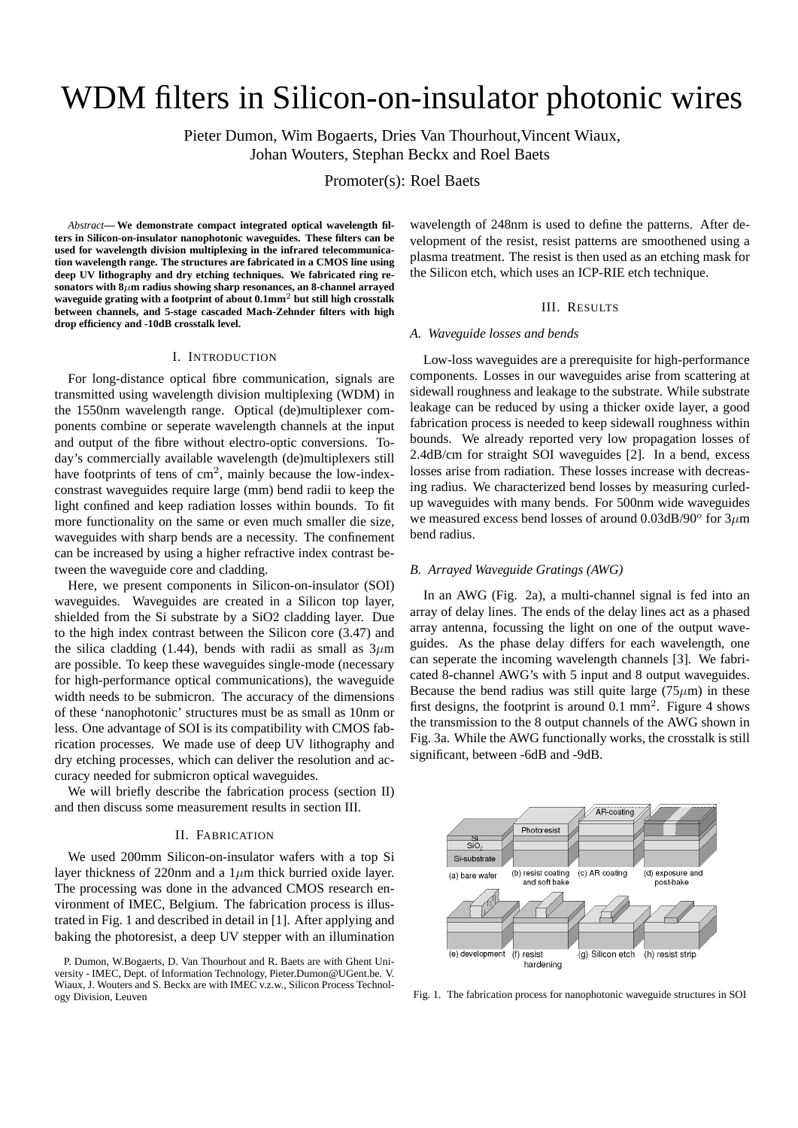# WDM filters in Silicon-on-insulator photonic wires

Pieter Dumon, Wim Bogaerts, Dries Van Thourhout,Vincent Wiaux, Johan Wouters, Stephan Beckx and Roel Baets

Promoter(s): Roel Baets

*Abstract***— We demonstrate compact integrated optical wavelength filters in Silicon-on-insulator nanophotonic waveguides. These filters can be used for wavelength division multiplexing in the infrared telecommunication wavelength range. The structures are fabricated in a CMOS line using deep UV lithography and dry etching techniques. We fabricated ring resonators with 8**µ**m radius showing sharp resonances, an 8-channel arrayed waveguide grating with a footprint of about 0.1mm**<sup>2</sup> **but still high crosstalk between channels, and 5-stage cascaded Mach-Zehnder filters with high drop efficiency and -10dB crosstalk level.**

#### I. INTRODUCTION

For long-distance optical fibre communication, signals are transmitted using wavelength division multiplexing (WDM) in the 1550nm wavelength range. Optical (de)multiplexer components combine or seperate wavelength channels at the input and output of the fibre without electro-optic conversions. Today's commercially available wavelength (de)multiplexers still have footprints of tens of cm<sup>2</sup>, mainly because the low-indexconstrast waveguides require large (mm) bend radii to keep the light confined and keep radiation losses within bounds. To fit more functionality on the same or even much smaller die size, waveguides with sharp bends are a necessity. The confinement can be increased by using a higher refractive index contrast between the waveguide core and cladding.

Here, we present components in Silicon-on-insulator (SOI) waveguides. Waveguides are created in a Silicon top layer, shielded from the Si substrate by a SiO2 cladding layer. Due to the high index contrast between the Silicon core (3.47) and the silica cladding (1.44), bends with radii as small as  $3\mu$ m are possible. To keep these waveguides single-mode (necessary for high-performance optical communications), the waveguide width needs to be submicron. The accuracy of the dimensions of these 'nanophotonic' structures must be as small as 10nm or less. One advantage of SOI is its compatibility with CMOS fabrication processes. We made use of deep UV lithography and dry etching processes, which can deliver the resolution and accuracy needed for submicron optical waveguides.

We will briefly describe the fabrication process (section II) and then discuss some measurement results in section III.

# II. FABRICATION

We used 200mm Silicon-on-insulator wafers with a top Si layer thickness of 220nm and a  $1\mu$ m thick burried oxide layer. The processing was done in the advanced CMOS research environment of IMEC, Belgium. The fabrication process is illustrated in Fig. 1 and described in detail in [1]. After applying and baking the photoresist, a deep UV stepper with an illumination wavelength of 248nm is used to define the patterns. After development of the resist, resist patterns are smoothened using a plasma treatment. The resist is then used as an etching mask for the Silicon etch, which uses an ICP-RIE etch technique.

### III. RESULTS

### *A. Waveguide losses and bends*

Low-loss waveguides are a prerequisite for high-performance components. Losses in our waveguides arise from scattering at sidewall roughness and leakage to the substrate. While substrate leakage can be reduced by using a thicker oxide layer, a good fabrication process is needed to keep sidewall roughness within bounds. We already reported very low propagation losses of 2.4dB/cm for straight SOI waveguides [2]. In a bend, excess losses arise from radiation. These losses increase with decreasing radius. We characterized bend losses by measuring curledup waveguides with many bends. For 500nm wide waveguides we measured excess bend losses of around  $0.03$ dB/90<sup>o</sup> for  $3\mu$ m bend radius.

# *B. Arrayed Waveguide Gratings (AWG)*

In an AWG (Fig. 2a), a multi-channel signal is fed into an array of delay lines. The ends of the delay lines act as a phased array antenna, focussing the light on one of the output waveguides. As the phase delay differs for each wavelength, one can seperate the incoming wavelength channels [3]. We fabricated 8-channel AWG's with 5 input and 8 output waveguides. Because the bend radius was still quite large  $(75 \mu m)$  in these first designs, the footprint is around  $0.1 \text{ mm}^2$ . Figure 4 shows the transmission to the 8 output channels of the AWG shown in Fig. 3a. While the AWG functionally works, the crosstalk is still significant, between -6dB and -9dB.



Fig. 1. The fabrication process for nanophotonic waveguide structures in SOI

P. Dumon, W.Bogaerts, D. Van Thourhout and R. Baets are with Ghent University - IMEC, Dept. of Information Technology, Pieter.Dumon@UGent.be. V. Wiaux, J. Wouters and S. Beckx are with IMEC v.z.w., Silicon Process Technology Division, Leuven